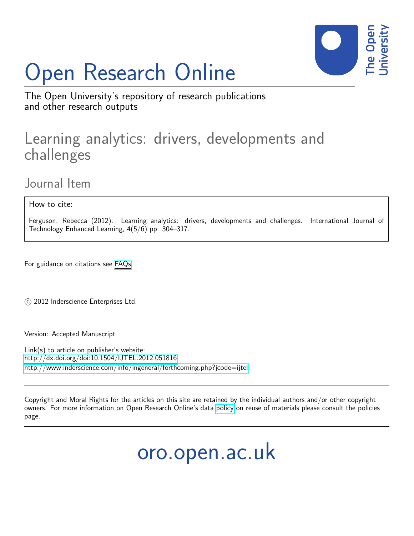# Open Research Online



The Open University's repository of research publications and other research outputs

# Learning analytics: drivers, developments and challenges

Journal Item

How to cite:

Ferguson, Rebecca (2012). Learning analytics: drivers, developments and challenges. International Journal of Technology Enhanced Learning, 4(5/6) pp. 304–317.

For guidance on citations see [FAQs.](http://oro.open.ac.uk/help/helpfaq.html)

c 2012 Inderscience Enterprises Ltd.

Version: Accepted Manuscript

Link(s) to article on publisher's website: <http://dx.doi.org/doi:10.1504/IJTEL.2012.051816> <http://www.inderscience.com/info/ingeneral/forthcoming.php?jcode=ijtel>

Copyright and Moral Rights for the articles on this site are retained by the individual authors and/or other copyright owners. For more information on Open Research Online's data [policy](http://oro.open.ac.uk/policies.html) on reuse of materials please consult the policies page.

oro.open.ac.uk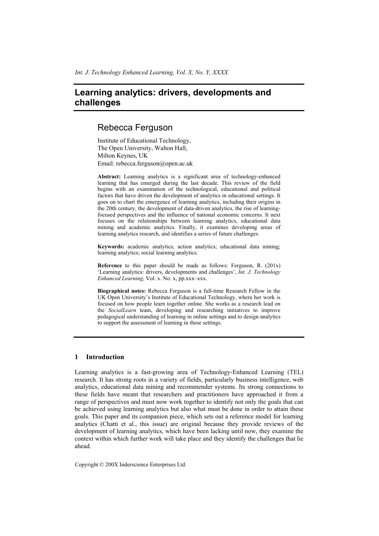# Rebecca Ferguson

Institute of Educational Technology, The Open University, Walton Hall, Milton Keynes, UK Email: rebecca.ferguson@open.ac.uk

**Abstract:** Learning analytics is a significant area of technology-enhanced learning that has emerged during the last decade. This review of the field begins with an examination of the technological, educational and political factors that have driven the development of analytics in educational settings. It goes on to chart the emergence of learning analytics, including their origins in the 20th century, the development of data-driven analytics, the rise of learningfocused perspectives and the influence of national economic concerns. It next focuses on the relationships between learning analytics, educational data mining and academic analytics. Finally, it examines developing areas of learning analytics research, and identifies a series of future challenges.

**Keywords:** academic analytics; action analytics; educational data mining; learning analytics; social learning analytics.

**Reference** to this paper should be made as follows: Ferguson, R. (201x) 'Learning analytics: drivers, developments and challenges', *Int. J. Technology Enhanced Learning*, Vol. x. No. x, pp.xxx–xxx.

**Biographical notes:** Rebecca Ferguson is a full-time Research Fellow in the UK Open University's Institute of Educational Technology, where her work is focused on how people learn together online. She works as a research lead on the *SocialLearn* team, developing and researching initiatives to improve pedagogical understanding of learning in online settings and to design analytics to support the assessment of learning in these settings.

# **1 Introduction**

Learning analytics is a fast-growing area of Technology-Enhanced Learning (TEL) research. It has strong roots in a variety of fields, particularly business intelligence, web analytics, educational data mining and recommender systems. Its strong connections to these fields have meant that researchers and practitioners have approached it from a range of perspectives and must now work together to identify not only the goals that can be achieved using learning analytics but also what must be done in order to attain these goals. This paper and its companion piece, which sets out a reference model for learning analytics (Chatti et al., this issue) are original because they provide reviews of the development of learning analytics, which have been lacking until now, they examine the context within which further work will take place and they identify the challenges that lie ahead.

Copyright © 200X Inderscience Enterprises Ltd.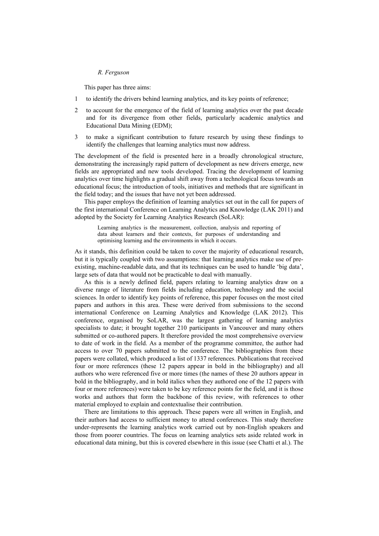This paper has three aims:

- 1 to identify the drivers behind learning analytics, and its key points of reference;
- 2 to account for the emergence of the field of learning analytics over the past decade and for its divergence from other fields, particularly academic analytics and Educational Data Mining (EDM);
- 3 to make a significant contribution to future research by using these findings to identify the challenges that learning analytics must now address.

The development of the field is presented here in a broadly chronological structure, demonstrating the increasingly rapid pattern of development as new drivers emerge, new fields are appropriated and new tools developed. Tracing the development of learning analytics over time highlights a gradual shift away from a technological focus towards an educational focus; the introduction of tools, initiatives and methods that are significant in the field today; and the issues that have not yet been addressed.

This paper employs the definition of learning analytics set out in the call for papers of the first international Conference on Learning Analytics and Knowledge (LAK 2011) and adopted by the Society for Learning Analytics Research (SoLAR):

Learning analytics is the measurement, collection, analysis and reporting of data about learners and their contexts, for purposes of understanding and optimising learning and the environments in which it occurs.

As it stands, this definition could be taken to cover the majority of educational research, but it is typically coupled with two assumptions: that learning analytics make use of preexisting, machine-readable data, and that its techniques can be used to handle 'big data', large sets of data that would not be practicable to deal with manually.

As this is a newly defined field, papers relating to learning analytics draw on a diverse range of literature from fields including education, technology and the social sciences. In order to identify key points of reference, this paper focuses on the most cited papers and authors in this area. These were derived from submissions to the second international Conference on Learning Analytics and Knowledge (LAK 2012). This conference, organised by SoLAR, was the largest gathering of learning analytics specialists to date; it brought together 210 participants in Vancouver and many others submitted or co-authored papers. It therefore provided the most comprehensive overview to date of work in the field. As a member of the programme committee, the author had access to over 70 papers submitted to the conference. The bibliographies from these papers were collated, which produced a list of 1337 references. Publications that received four or more references (these 12 papers appear in bold in the bibliography) and all authors who were referenced five or more times (the names of these 20 authors appear in bold in the bibliography, and in bold italics when they authored one of the 12 papers with four or more references) were taken to be key reference points for the field, and it is those works and authors that form the backbone of this review, with references to other material employed to explain and contextualise their contribution.

There are limitations to this approach. These papers were all written in English, and their authors had access to sufficient money to attend conferences. This study therefore under-represents the learning analytics work carried out by non-English speakers and those from poorer countries. The focus on learning analytics sets aside related work in educational data mining, but this is covered elsewhere in this issue (see Chatti et al.). The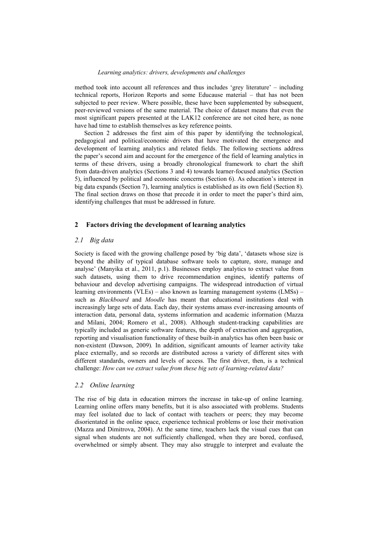method took into account all references and thus includes 'grey literature' – including technical reports, Horizon Reports and some Educause material – that has not been subjected to peer review. Where possible, these have been supplemented by subsequent, peer-reviewed versions of the same material. The choice of dataset means that even the most significant papers presented at the LAK12 conference are not cited here, as none have had time to establish themselves as key reference points.

Section 2 addresses the first aim of this paper by identifying the technological, pedagogical and political/economic drivers that have motivated the emergence and development of learning analytics and related fields. The following sections address the paper's second aim and account for the emergence of the field of learning analytics in terms of these drivers, using a broadly chronological framework to chart the shift from data-driven analytics (Sections 3 and 4) towards learner-focused analytics (Section 5), influenced by political and economic concerns (Section 6). As education's interest in big data expands (Section 7), learning analytics is established as its own field (Section 8). The final section draws on those that precede it in order to meet the paper's third aim, identifying challenges that must be addressed in future.

#### **2 Factors driving the development of learning analytics**

# *2.1 Big data*

Society is faced with the growing challenge posed by 'big data', 'datasets whose size is beyond the ability of typical database software tools to capture, store, manage and analyse' (Manyika et al., 2011, p.1). Businesses employ analytics to extract value from such datasets, using them to drive recommendation engines, identify patterns of behaviour and develop advertising campaigns. The widespread introduction of virtual learning environments (VLEs) – also known as learning management systems (LMSs) – such as *Blackboard* and *Moodle* has meant that educational institutions deal with increasingly large sets of data. Each day, their systems amass ever-increasing amounts of interaction data, personal data, systems information and academic information (Mazza and Milani, 2004; Romero et al., 2008). Although student-tracking capabilities are typically included as generic software features, the depth of extraction and aggregation, reporting and visualisation functionality of these built-in analytics has often been basic or non-existent (Dawson, 2009)*.* In addition, significant amounts of learner activity take place externally, and so records are distributed across a variety of different sites with different standards, owners and levels of access. The first driver, then, is a technical challenge: *How can we extract value from these big sets of learning-related data?*

#### *2.2 Online learning*

The rise of big data in education mirrors the increase in take-up of online learning. Learning online offers many benefits, but it is also associated with problems. Students may feel isolated due to lack of contact with teachers or peers; they may become disorientated in the online space, experience technical problems or lose their motivation (Mazza and Dimitrova, 2004). At the same time, teachers lack the visual cues that can signal when students are not sufficiently challenged, when they are bored, confused, overwhelmed or simply absent. They may also struggle to interpret and evaluate the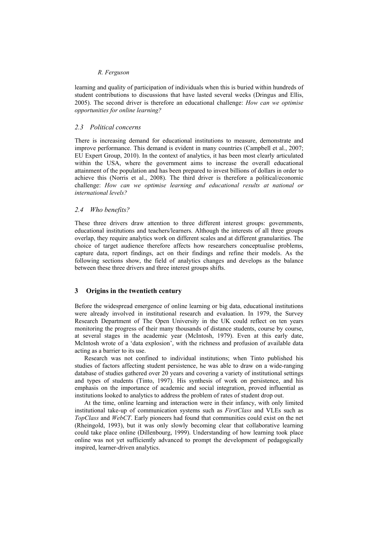learning and quality of participation of individuals when this is buried within hundreds of student contributions to discussions that have lasted several weeks (Dringus and Ellis, 2005). The second driver is therefore an educational challenge: *How can we optimise opportunities for online learning?*

#### *2.3 Political concerns*

There is increasing demand for educational institutions to measure, demonstrate and improve performance. This demand is evident in many countries (Campbell et al., 2007; EU Expert Group, 2010). In the context of analytics, it has been most clearly articulated within the USA, where the government aims to increase the overall educational attainment of the population and has been prepared to invest billions of dollars in order to achieve this (Norris et al., 2008). The third driver is therefore a political/economic challenge: *How can we optimise learning and educational results at national or international levels?* 

#### *2.4 Who benefits?*

These three drivers draw attention to three different interest groups: governments, educational institutions and teachers/learners. Although the interests of all three groups overlap, they require analytics work on different scales and at different granularities. The choice of target audience therefore affects how researchers conceptualise problems, capture data, report findings, act on their findings and refine their models. As the following sections show, the field of analytics changes and develops as the balance between these three drivers and three interest groups shifts.

# **3 Origins in the twentieth century**

Before the widespread emergence of online learning or big data, educational institutions were already involved in institutional research and evaluation. In 1979, the Survey Research Department of The Open University in the UK could reflect on ten years monitoring the progress of their many thousands of distance students, course by course, at several stages in the academic year (McIntosh, 1979). Even at this early date, McIntosh wrote of a 'data explosion', with the richness and profusion of available data acting as a barrier to its use.

Research was not confined to individual institutions; when Tinto published his studies of factors affecting student persistence, he was able to draw on a wide-ranging database of studies gathered over 20 years and covering a variety of institutional settings and types of students (Tinto, 1997). His synthesis of work on persistence, and his emphasis on the importance of academic and social integration, proved influential as institutions looked to analytics to address the problem of rates of student drop out.

At the time, online learning and interaction were in their infancy, with only limited institutional take-up of communication systems such as *FirstClass* and VLEs such as *TopClass* and *WebCT*. Early pioneers had found that communities could exist on the net (Rheingold, 1993), but it was only slowly becoming clear that collaborative learning could take place online (Dillenbourg, 1999). Understanding of how learning took place online was not yet sufficiently advanced to prompt the development of pedagogically inspired, learner-driven analytics.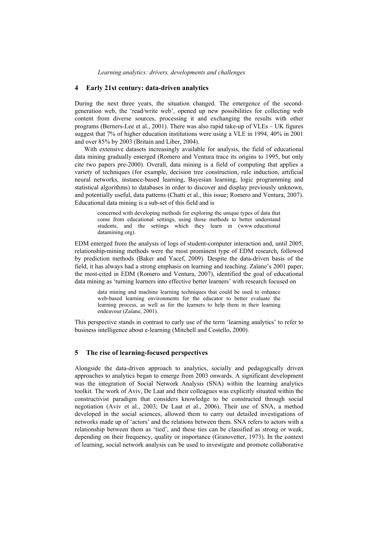# **4 Early 21st century: data-driven analytics**

During the next three years, the situation changed. The emergence of the secondgeneration web, the 'read/write web', opened up new possibilities for collecting web content from diverse sources, processing it and exchanging the results with other programs (Berners-Lee et al., 2001). There was also rapid take-up of VLEs – UK figures suggest that 7% of higher education institutions were using a VLE in 1994, 40% in 2001 and over 85% by 2003 (Britain and Liber, 2004).

With extensive datasets increasingly available for analysis, the field of educational data mining gradually emerged (Romero and Ventura trace its origins to 1995, but only cite two papers pre-2000). Overall, data mining is a field of computing that applies a variety of techniques (for example, decision tree construction, rule induction, artificial neural networks, instance-based learning, Bayesian learning, logic programming and statistical algorithms) to databases in order to discover and display previously unknown, and potentially useful, data patterns (Chatti et al., this issue; Romero and Ventura, 2007). Educational data mining is a sub-set of this field and is

> concerned with developing methods for exploring the unique types of data that come from educational settings, using those methods to better understand students, and the settings which they learn in (www.educational datamining.org).

EDM emerged from the analysis of logs of student-computer interaction and, until 2005, relationship-mining methods were the most prominent type of EDM research, followed by prediction methods (Baker and Yacef, 2009). Despite the data-driven basis of the field, it has always had a strong emphasis on learning and teaching. Zaïane's 2001 paper, the most-cited in EDM (Romero and Ventura, 2007), identified the goal of educational data mining as 'turning learners into effective better learners' with research focused on

data mining and machine learning techniques that could be used to enhance web-based learning environments for the educator to better evaluate the learning process, as well as for the learners to help them in their learning endeavour (Zaïane, 2001).

This perspective stands in contrast to early use of the term 'learning analytics' to refer to business intelligence about e-learning (Mitchell and Costello, 2000).

# **5 The rise of learning-focused perspectives**

Alongside the data-driven approach to analytics, socially and pedagogically driven approaches to analytics began to emerge from 2003 onwards. A significant development was the integration of Social Network Analysis (SNA) within the learning analytics toolkit. The work of Aviv, De Laat and their colleagues was explicitly situated within the constructivist paradigm that considers knowledge to be constructed through social negotiation (Aviv et al., 2003; De Laat et al., 2006). Their use of SNA, a method developed in the social sciences, allowed them to carry out detailed investigations of networks made up of 'actors' and the relations between them. SNA refers to actors with a relationship between them as 'tied', and these ties can be classified as strong or weak, depending on their frequency, quality or importance (Granovetter, 1973). In the context of learning, social network analysis can be used to investigate and promote collaborative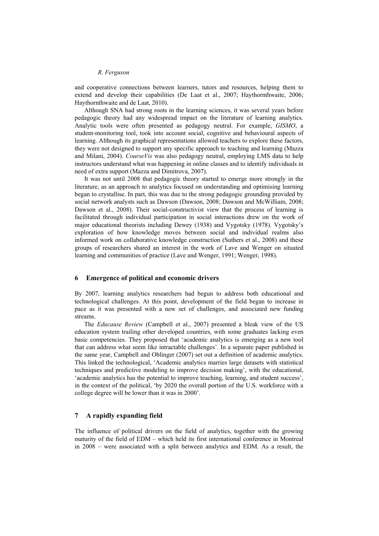and cooperative connections between learners, tutors and resources, helping them to extend and develop their capabilities (De Laat et al., 2007; Haythornthwaite, 2006; Haythornthwaite and de Laat, 2010).

Although SNA had strong roots in the learning sciences, it was several years before pedagogic theory had any widespread impact on the literature of learning analytics. Analytic tools were often presented as pedagogy neutral. For example, *GISMO*, a student-monitoring tool, took into account social, cognitive and behavioural aspects of learning. Although its graphical representations allowed teachers to explore these factors, they were not designed to support any specific approach to teaching and learning (Mazza and Milani, 2004). *CourseVis* was also pedagogy neutral, employing LMS data to help instructors understand what was happening in online classes and to identify individuals in need of extra support (Mazza and Dimitrova, 2007).

It was not until 2008 that pedagogic theory started to emerge more strongly in the literature, as an approach to analytics focused on understanding and optimising learning began to crystallise. In part, this was due to the strong pedagogic grounding provided by social network analysts such as Dawson (Dawson, 2008; Dawson and McWilliam, 2008; Dawson et al., 2008). Their social-constructivist view that the process of learning is facilitated through individual participation in social interactions drew on the work of major educational theorists including Dewey (1938) and Vygotsky (1978). Vygotsky's exploration of how knowledge moves between social and individual realms also informed work on collaborative knowledge construction (Suthers et al., 2008) and these groups of researchers shared an interest in the work of Lave and Wenger on situated learning and communities of practice (Lave and Wenger, 1991; Wenger, 1998).

#### **6 Emergence of political and economic drivers**

By 2007, learning analytics researchers had begun to address both educational and technological challenges. At this point, development of the field began to increase in pace as it was presented with a new set of challenges, and associated new funding streams.

The *Educause Review* (Campbell et al., 2007) presented a bleak view of the US education system trailing other developed countries, with some graduates lacking even basic competencies. They proposed that 'academic analytics is emerging as a new tool that can address what seem like intractable challenges'. In a separate paper published in the same year, Campbell and Oblinger (2007) set out a definition of academic analytics. This linked the technological, 'Academic analytics marries large datasets with statistical techniques and predictive modeling to improve decision making', with the educational, 'academic analytics has the potential to improve teaching, learning, and student success', in the context of the political, 'by 2020 the overall portion of the U.S. workforce with a college degree will be lower than it was in 2000'.

# **7 A rapidly expanding field**

The influence of political drivers on the field of analytics, together with the growing maturity of the field of EDM – which held its first international conference in Montreal in 2008 – were associated with a split between analytics and EDM. As a result, the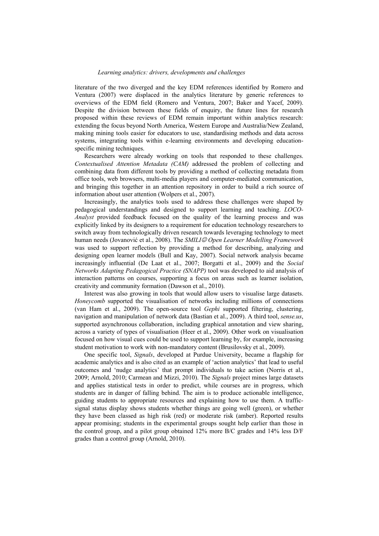literature of the two diverged and the key EDM references identified by Romero and Ventura (2007) were displaced in the analytics literature by generic references to overviews of the EDM field (Romero and Ventura, 2007; Baker and Yacef, 2009). Despite the division between these fields of enquiry, the future lines for research proposed within these reviews of EDM remain important within analytics research: extending the focus beyond North America, Western Europe and Australia/New Zealand, making mining tools easier for educators to use, standardising methods and data across systems, integrating tools within e-learning environments and developing educationspecific mining techniques.

Researchers were already working on tools that responded to these challenges. *Contextualised Attention Metadata (CAM)* addressed the problem of collecting and combining data from different tools by providing a method of collecting metadata from office tools, web browsers, multi-media players and computer-mediated communication, and bringing this together in an attention repository in order to build a rich source of information about user attention (Wolpers et al., 2007).

Increasingly, the analytics tools used to address these challenges were shaped by pedagogical understandings and designed to support learning and teaching. *LOCO-Analyst* provided feedback focused on the quality of the learning process and was explicitly linked by its designers to a requirement for education technology researchers to switch away from technologically driven research towards leveraging technology to meet human needs (Jovanović et al., 2008). The *SMILI<sup>©</sup> Open Learner Modelling Framework* was used to support reflection by providing a method for describing, analyzing and designing open learner models (Bull and Kay, 2007). Social network analysis became increasingly influential (De Laat et al., 2007; Borgatti et al., 2009) and the *Social Networks Adapting Pedagogical Practice (SNAPP)* tool was developed to aid analysis of interaction patterns on courses, supporting a focus on areas such as learner isolation, creativity and community formation (Dawson et al., 2010).

Interest was also growing in tools that would allow users to visualise large datasets. *Honeycomb* supported the visualisation of networks including millions of connections (van Ham et al., 2009). The open-source tool *Gephi* supported filtering, clustering, navigation and manipulation of network data (Bastian et al., 2009). A third tool, *sense.us*, supported asynchronous collaboration, including graphical annotation and view sharing, across a variety of types of visualisation (Heer et al., 2009). Other work on visualisation focused on how visual cues could be used to support learning by, for example, increasing student motivation to work with non-mandatory content (Brusilovsky et al., 2009).

One specific tool, *Signals*, developed at Purdue University, became a flagship for academic analytics and is also cited as an example of 'action analytics' that lead to useful outcomes and 'nudge analytics' that prompt individuals to take action (Norris et al., 2009; Arnold, 2010; Carmean and Mizzi, 2010). The *Signals* project mines large datasets and applies statistical tests in order to predict, while courses are in progress, which students are in danger of falling behind. The aim is to produce actionable intelligence, guiding students to appropriate resources and explaining how to use them. A trafficsignal status display shows students whether things are going well (green), or whether they have been classed as high risk (red) or moderate risk (amber). Reported results appear promising; students in the experimental groups sought help earlier than those in the control group, and a pilot group obtained 12% more B/C grades and 14% less D/F grades than a control group (Arnold, 2010).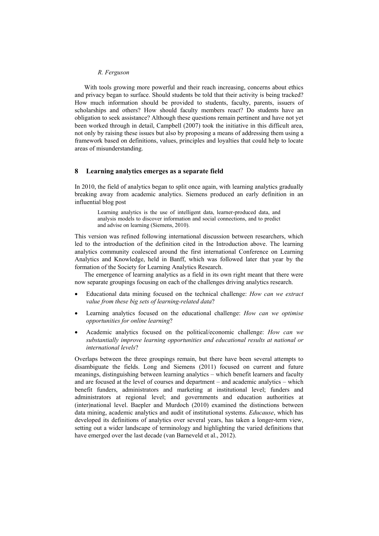With tools growing more powerful and their reach increasing, concerns about ethics and privacy began to surface. Should students be told that their activity is being tracked? How much information should be provided to students, faculty, parents, issuers of scholarships and others? How should faculty members react? Do students have an obligation to seek assistance? Although these questions remain pertinent and have not yet been worked through in detail, Campbell (2007) took the initiative in this difficult area, not only by raising these issues but also by proposing a means of addressing them using a framework based on definitions, values, principles and loyalties that could help to locate areas of misunderstanding.

# **8 Learning analytics emerges as a separate field**

In 2010, the field of analytics began to split once again, with learning analytics gradually breaking away from academic analytics. Siemens produced an early definition in an influential blog post

> Learning analytics is the use of intelligent data, learner-produced data, and analysis models to discover information and social connections, and to predict and advise on learning (Siemens, 2010).

This version was refined following international discussion between researchers, which led to the introduction of the definition cited in the Introduction above. The learning analytics community coalesced around the first international Conference on Learning Analytics and Knowledge, held in Banff, which was followed later that year by the formation of the Society for Learning Analytics Research.

The emergence of learning analytics as a field in its own right meant that there were now separate groupings focusing on each of the challenges driving analytics research.

- Educational data mining focused on the technical challenge: *How can we extract value from these big sets of learning-related data*?
- Learning analytics focused on the educational challenge: *How can we optimise opportunities for online learning*?
- Academic analytics focused on the political/economic challenge: *How can we substantially improve learning opportunities and educational results at national or international levels*?

Overlaps between the three groupings remain, but there have been several attempts to disambiguate the fields. Long and Siemens (2011) focused on current and future meanings, distinguishing between learning analytics – which benefit learners and faculty and are focused at the level of courses and department – and academic analytics – which benefit funders, administrators and marketing at institutional level; funders and administrators at regional level; and governments and education authorities at (inter)national level. Baepler and Murdoch (2010) examined the distinctions between data mining, academic analytics and audit of institutional systems. *Educause*, which has developed its definitions of analytics over several years, has taken a longer-term view, setting out a wider landscape of terminology and highlighting the varied definitions that have emerged over the last decade (van Barneveld et al., 2012).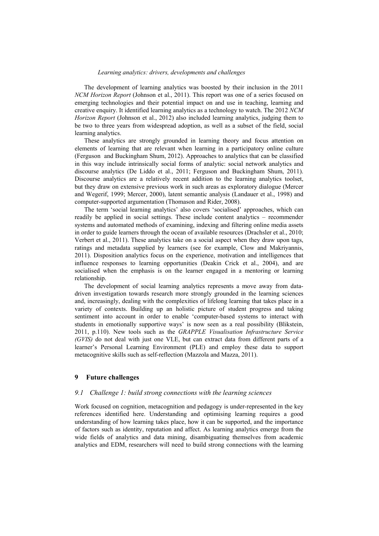The development of learning analytics was boosted by their inclusion in the 2011 *NCM Horizon Report* (Johnson et al., 2011). This report was one of a series focused on emerging technologies and their potential impact on and use in teaching, learning and creative enquiry. It identified learning analytics as a technology to watch. The 2012 *NCM Horizon Report* (Johnson et al., 2012) also included learning analytics, judging them to be two to three years from widespread adoption, as well as a subset of the field, social learning analytics.

These analytics are strongly grounded in learning theory and focus attention on elements of learning that are relevant when learning in a participatory online culture (Ferguson and Buckingham Shum, 2012). Approaches to analytics that can be classified in this way include intrinsically social forms of analytic: social network analytics and discourse analytics (De Liddo et al., 2011; Ferguson and Buckingham Shum, 2011). Discourse analytics are a relatively recent addition to the learning analytics toolset, but they draw on extensive previous work in such areas as exploratory dialogue (Mercer and Wegerif, 1999; Mercer, 2000), latent semantic analysis (Landauer et al., 1998) and computer-supported argumentation (Thomason and Rider, 2008).

The term 'social learning analytics' also covers 'socialised' approaches, which can readily be applied in social settings. These include content analytics – recommender systems and automated methods of examining, indexing and filtering online media assets in order to guide learners through the ocean of available resources (Drachsler et al., 2010; Verbert et al., 2011). These analytics take on a social aspect when they draw upon tags, ratings and metadata supplied by learners (see for example, Clow and Makriyannis, 2011). Disposition analytics focus on the experience, motivation and intelligences that influence responses to learning opportunities (Deakin Crick et al., 2004), and are socialised when the emphasis is on the learner engaged in a mentoring or learning relationship.

The development of social learning analytics represents a move away from datadriven investigation towards research more strongly grounded in the learning sciences and, increasingly, dealing with the complexities of lifelong learning that takes place in a variety of contexts. Building up an holistic picture of student progress and taking sentiment into account in order to enable 'computer-based systems to interact with students in emotionally supportive ways' is now seen as a real possibility (Blikstein, 2011, p.110). New tools such as the *GRAPPLE Visualisation Infrastructure Service (GVIS)* do not deal with just one VLE, but can extract data from different parts of a learner's Personal Learning Environment (PLE) and employ these data to support metacognitive skills such as self-reflection (Mazzola and Mazza, 2011).

# **9 Future challenges**

# *9.1 Challenge 1: build strong connections with the learning sciences*

Work focused on cognition, metacognition and pedagogy is under-represented in the key references identified here. Understanding and optimising learning requires a good understanding of how learning takes place, how it can be supported, and the importance of factors such as identity, reputation and affect. As learning analytics emerge from the wide fields of analytics and data mining, disambiguating themselves from academic analytics and EDM, researchers will need to build strong connections with the learning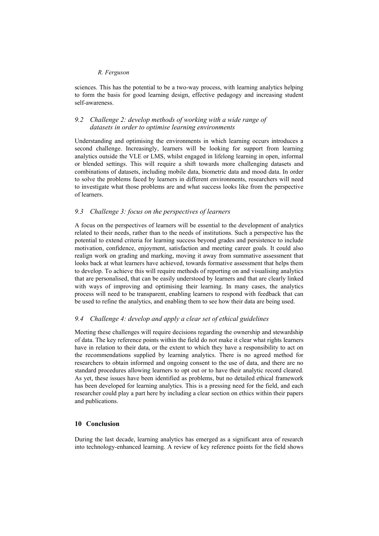sciences. This has the potential to be a two-way process, with learning analytics helping to form the basis for good learning design, effective pedagogy and increasing student self-awareness.

# *9.2 Challenge 2: develop methods of working with a wide range of datasets in order to optimise learning environments*

Understanding and optimising the environments in which learning occurs introduces a second challenge. Increasingly, learners will be looking for support from learning analytics outside the VLE or LMS, whilst engaged in lifelong learning in open, informal or blended settings. This will require a shift towards more challenging datasets and combinations of datasets, including mobile data, biometric data and mood data. In order to solve the problems faced by learners in different environments, researchers will need to investigate what those problems are and what success looks like from the perspective of learners.

# *9.3 Challenge 3: focus on the perspectives of learners*

A focus on the perspectives of learners will be essential to the development of analytics related to their needs, rather than to the needs of institutions. Such a perspective has the potential to extend criteria for learning success beyond grades and persistence to include motivation, confidence, enjoyment, satisfaction and meeting career goals. It could also realign work on grading and marking, moving it away from summative assessment that looks back at what learners have achieved, towards formative assessment that helps them to develop. To achieve this will require methods of reporting on and visualising analytics that are personalised, that can be easily understood by learners and that are clearly linked with ways of improving and optimising their learning. In many cases, the analytics process will need to be transparent, enabling learners to respond with feedback that can be used to refine the analytics, and enabling them to see how their data are being used.

# *9.4 Challenge 4: develop and apply a clear set of ethical guidelines*

Meeting these challenges will require decisions regarding the ownership and stewardship of data. The key reference points within the field do not make it clear what rights learners have in relation to their data, or the extent to which they have a responsibility to act on the recommendations supplied by learning analytics. There is no agreed method for researchers to obtain informed and ongoing consent to the use of data, and there are no standard procedures allowing learners to opt out or to have their analytic record cleared. As yet, these issues have been identified as problems, but no detailed ethical framework has been developed for learning analytics. This is a pressing need for the field, and each researcher could play a part here by including a clear section on ethics within their papers and publications.

# **10 Conclusion**

During the last decade, learning analytics has emerged as a significant area of research into technology-enhanced learning. A review of key reference points for the field shows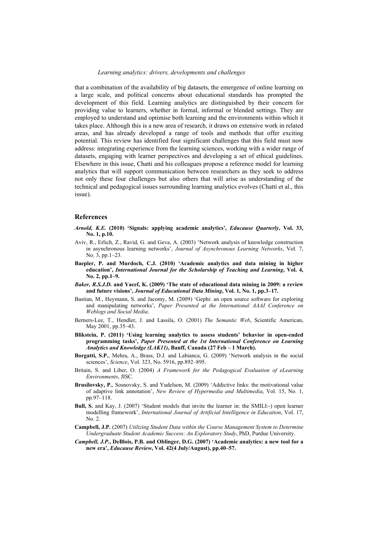that a combination of the availability of big datasets, the emergence of online learning on a large scale, and political concerns about educational standards has prompted the development of this field. Learning analytics are distinguished by their concern for providing value to learners, whether in formal, informal or blended settings. They are employed to understand and optimise both learning and the environments within which it takes place. Although this is a new area of research, it draws on extensive work in related areas, and has already developed a range of tools and methods that offer exciting potential. This review has identified four significant challenges that this field must now address: integrating experience from the learning sciences, working with a wider range of datasets, engaging with learner perspectives and developing a set of ethical guidelines. Elsewhere in this issue, Chatti and his colleagues propose a reference model for learning analytics that will support communication between researchers as they seek to address not only these four challenges but also others that will arise as understanding of the technical and pedagogical issues surrounding learning analytics evolves (Chatti et al., this issue).

#### **References**

- *Arnold, K.E.* **(2010) 'Signals: applying academic analytics',** *Educause Quarterly***, Vol. 33, No. 1, p.10.**
- Aviv, R., Erlich, Z., Ravid, G. and Geva, A. (2003) 'Network analysis of knowledge construction in asynchronous learning networks', *Journal of Asynchronous Learning Networks*, Vol. 7, No. 3, pp.1–23.
- **Baepler, P. and Murdoch, C.J. (2010) 'Academic analytics and data mining in higher education',** *International Journal for the Scholarship of Teaching and Learning***, Vol. 4, No. 2, pp.1–9.**
- *Baker, R.S.J.D.* **and Yacef, K. (2009) 'The state of educational data mining in 2009: a review and future visions',** *Journal of Educational Data Mining***, Vol. 1, No. 1, pp.3–17.**
- Bastian, M., Heymann, S. and Jacomy, M. (2009) 'Gephi: an open source software for exploring and manipulating networks', *Paper Presented at the International AAAI Conference on Weblogs and Social Media*.
- Berners-Lee, T., Hendler, J. and Lassila, O. (2001) *The Semantic Web*, Scientific American, May 2001, pp.35–43.
- **Blikstein, P. (2011) 'Using learning analytics to assess students' behavior in open-ended programming tasks',** *Paper Presented at the 1st International Conference on Learning Analytics and Knowledge (LAK11)***, Banff, Canada (27 Feb – 1 March).**
- **Borgatti, S.P.**, Mehra, A., Brass, D.J. and Labianca, G. (2009) 'Network analysis in the social sciences', *Science*, Vol. 323, No. 5916, pp.892–895.
- Britain, S. and Liber, O. (2004) *A Framework for the Pedagogical Evaluation of eLearning Environments*, JISC.
- **Brusilovsky, P.**, Sosnovsky, S. and Yudelson, M. (2009) 'Addictive links: the motivational value of adaptive link annotation', *New Review of Hypermedia and Multimedia*, Vol. 15, No. 1, pp.97–118.
- **Bull, S.** and Kay, J. (2007) 'Student models that invite the learner in: the SMILI:-) open learner modelling framework', *International Journal of Artificial Intelligence in Education*, Vol. 17, No. 2.
- **Campbell, J.P.** (2007) *Utilizing Student Data within the Course Management System to Determine Undergraduate Student Academic Success: An Exploratory Study*, PhD, Purdue University.
- *Campbell, J.P.***, DeBlois, P.B. and Oblinger, D.G. (2007) 'Academic analytics: a new tool for a new era',** *Educause Review***, Vol. 42(4 July/August), pp.40–57.**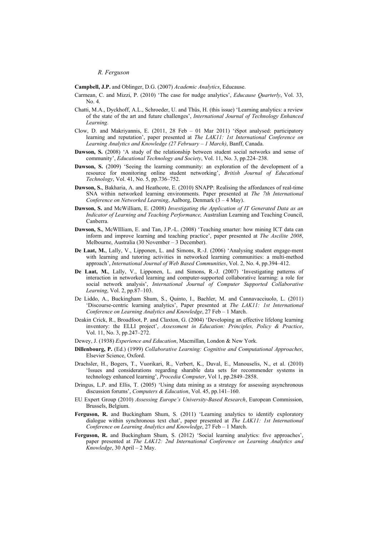**Campbell, J.P.** and Oblinger, D.G. (2007) *Academic Analytics*, Educause.

- Carmean, C. and Mizzi, P. (2010) 'The case for nudge analytics', *Educause Quarterly*, Vol. 33, No. 4.
- Chatti, M.A., Dyckhoff, A.L., Schroeder, U. and Thüs, H. (this issue) 'Learning analytics: a review of the state of the art and future challenges', *International Journal of Technology Enhanced Learning*.
- Clow, D. and Makriyannis, E. (2011, 28 Feb 01 Mar 2011) 'iSpot analysed: participatory learning and reputation', paper presented at *The LAK11: 1st International Conference on Learning Analytics and Knowledge (27 February – 1 March)*, Banff, Canada.
- **Dawson, S.** (2008) 'A study of the relationship between student social networks and sense of community', *Educational Technology and Society*, Vol. 11, No. 3, pp.224–238.
- **Dawson, S.** (2009) 'Seeing the learning community: an exploration of the development of a resource for monitoring online student networking', *British Journal of Educational Technology*, Vol. 41, No. 5, pp.736–752.
- **Dawson, S.**, Bakharia, A. and Heathcote, E. (2010) SNAPP: Realising the affordances of real-time SNA within networked learning environments. Paper presented at *The 7th International Conference on Networked Learning*, Aalborg, Denmark (3 – 4 May).
- **Dawson, S.** and McWilliam, E. (2008) *Investigating the Application of IT Generated Data as an Indicator of Learning and Teaching Performance,* Australian Learning and Teaching Council, Canberra.
- **Dawson, S.**, McWIlliam, E. and Tan, J.P.-L. (2008) 'Teaching smarter: how mining ICT data can inform and improve learning and teaching practice', paper presented at *The Ascilite 2008*, Melbourne, Australia (30 November – 3 December).
- **De Laat, M.**, Lally, V., Lipponen, L. and Simons, R.-J. (2006) 'Analysing student engage-ment with learning and tutoring activities in networked learning communities: a multi-method approach', *International Journal of Web Based Communities*, Vol. 2, No. 4, pp.394–412.
- **De Laat, M.**, Lally, V., Lipponen, L. and Simons, R.-J. (2007) 'Investigating patterns of interaction in networked learning and computer-supported collaborative learning: a role for social network analysis', *International Journal of Computer Supported Collaborative Learning*, Vol. 2, pp.87–103.
- De Liddo, A., Buckingham Shum, S., Quinto, I., Bachler, M. and Cannavacciuolo, L. (2011) 'Discourse-centric learning analytics', Paper presented at *The LAK11: 1st International Conference on Learning Analytics and Knowledge*, 27 Feb – 1 March.
- Deakin Crick, R., Broadfoot, P. and Claxton, G. (2004) 'Developing an effective lifelong learning inventory: the ELLI project', *Assessment in Education: Principles, Policy & Practice*, Vol. 11, No. 3, pp.247–272.
- Dewey, J. (1938) *Experience and Education*, Macmillan, London & New York.
- **Dillenbourg, P.** (Ed.) (1999) *Collaborative Learning: Cognitive and Computational Approaches*, Elsevier Science, Oxford.
- Drachsler, H., Bogers, T., Vuorikari, R., Verbert, K., Duval, E., Manouselis, N., et al. (2010) 'Issues and considerations regarding sharable data sets for recommender systems in technology enhanced learning', *Procedia Computer*, Vol 1, pp.2849–2858.
- Dringus, L.P. and Ellis, T. (2005) 'Using data mining as a strategy for assessing asynchronous discussion forums', *Computers & Education*, Vol. 45, pp.141–160.
- EU Expert Group (2010) *Assessing Europe's University-Based Research*, European Commission, Brussels, Belgium.
- **Ferguson, R.** and Buckingham Shum, S. (2011) 'Learning analytics to identify exploratory dialogue within synchronous text chat', paper presented at *The LAK11: 1st International Conference on Learning Analytics and Knowledge*, 27 Feb – 1 March.
- **Ferguson, R.** and Buckingham Shum, S. (2012) 'Social learning analytics: five approaches', paper presented at *The LAK12: 2nd International Conference on Learning Analytics and Knowledge*, 30 April – 2 May.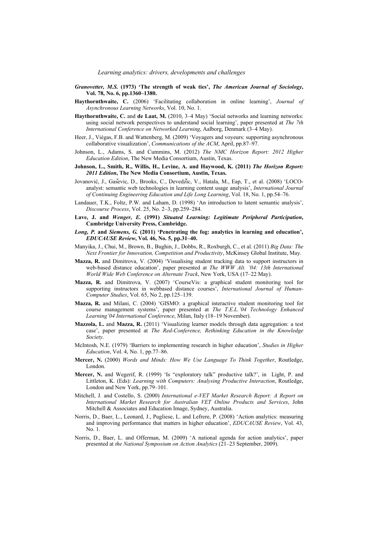- *Granovetter, M.S.* **(1973) 'The strength of weak ties',** *The American Journal of Sociology***, Vol. 78, No. 6, pp.1360–1380.**
- **Haythornthwaite, C.** (2006) 'Facilitating collaboration in online learning', *Journal of Asynchronous Learning Networks*, Vol. 10, No. 1.
- **Haythornthwaite, C.** and **de Laat, M.** (2010, 3–4 May) 'Social networks and learning networks: using social network perspectives to understand social learning', paper presented at *The 7th International Conference on Networked Learning*, Aalborg, Denmark (3–4 May).
- Heer, J., Viégas, F.B. and Wattenberg, M. (2009) 'Voyagers and voyeurs: supporting asynchronous collaborative visualization', *Communications of the ACM*, April, pp.87–97.
- Johnson, L., Adams, S. and Cummins, M. (2012) *The NMC Horizon Report: 2012 Higher Education Edition*, The New Media Consortium, Austin, Texas.
- **Johnson, L., Smith, R., Willis, H., Levine, A. and Haywood, K. (2011)** *The Horizon Report: 2011 Edition***, The New Media Consortium, Austin, Texas.**
- Jovanović, J., Gaševic, D., Brooks, C., Devedžic, V., Hatala, M., Eap, T., et al. (2008) 'LOCOanalyst: semantic web technologies in learning content usage analysis', *International Journal of Continuing Engineering Education and Life Long Learning*, Vol. 18, No. 1, pp.54–76.
- Landauer, T.K., Foltz, P.W. and Laham, D. (1998) 'An introduction to latent semantic analysis', *Discourse Process*, Vol. 25, No. 2–3, pp.259–284.
- **Lave, J. and** *Wenger, E.* **(1991)** *Situated Learning: Legitimate Peripheral Participation***, Cambridge University Press, Cambridge.**
- *Long, P.* **and** *Siemens, G.* **(2011) 'Penetrating the fog: analytics in learning and education',**  *EDUCAUSE Review***, Vol. 46, No. 5, pp.31–40.**
- Manyika, J., Chui, M., Brown, B., Bughin, J., Dobbs, R., Roxburgh, C., et al. (2011) *Big Data: The Next Frontier for Innovation, Competition and Productivity*, McKinsey Global Institute, May.
- **Mazza, R.** and Dimitrova, V. (2004) 'Visualising student tracking data to support instructors in web-based distance education', paper presented at *The WWW Alt. '04: 13th International World Wide Web Conference on Alternate Track*, New York, USA (17–22 May).
- **Mazza, R.** and Dimitrova, V. (2007) 'CourseVis: a graphical student monitoring tool for supporting instructors in webbased distance courses', *International Journal of Human-Computer Studies*, Vol. 65, No 2, pp.125–139.
- **Mazza, R.** and Milani, C. (2004) 'GISMO: a graphical interactive student monitoring tool for course management systems', paper presented at *The T.E.L.'04 Technology Enhanced Learning'04 International Conference*, Milan, Italy (18–19 November).
- **Mazzola, L.** and **Mazza, R.** (2011) 'Visualizing learner models through data aggregation: a test case', paper presented at *The Red-Conference, Rethinking Education in the Knowledge Society*.
- McIntosh, N.E. (1979) 'Barriers to implementing research in higher education', *Studies in Higher Education*, Vol. 4, No. 1, pp.77–86.
- **Mercer, N.** (2000) *Words and Minds: How We Use Language To Think Together*, Routledge, London.
- **Mercer, N.** and Wegerif, R. (1999) 'Is "exploratory talk" productive talk?', in Light, P. and Littleton, K. (Eds): *Learning with Computers: Analysing Productive Interaction*, Routledge, London and New York, pp.79–101.
- Mitchell, J. and Costello, S. (2000) *International e-VET Market Research Report: A Report on International Market Research for Australian VET Online Products and Services*, John Mitchell & Associates and Education Image, Sydney, Australia.
- Norris, D., Baer, L., Leonard, J., Pugliese, L. and Lefrere, P. (2008) 'Action analytics: measuring and improving performance that matters in higher education', *EDUCAUSE Review*, Vol. 43, No. 1.
- Norris, D., Baer, L. and Offerman, M. (2009) 'A national agenda for action analytics', paper presented at *the National Symposium on Action Analytics* (21–23 September, 2009).